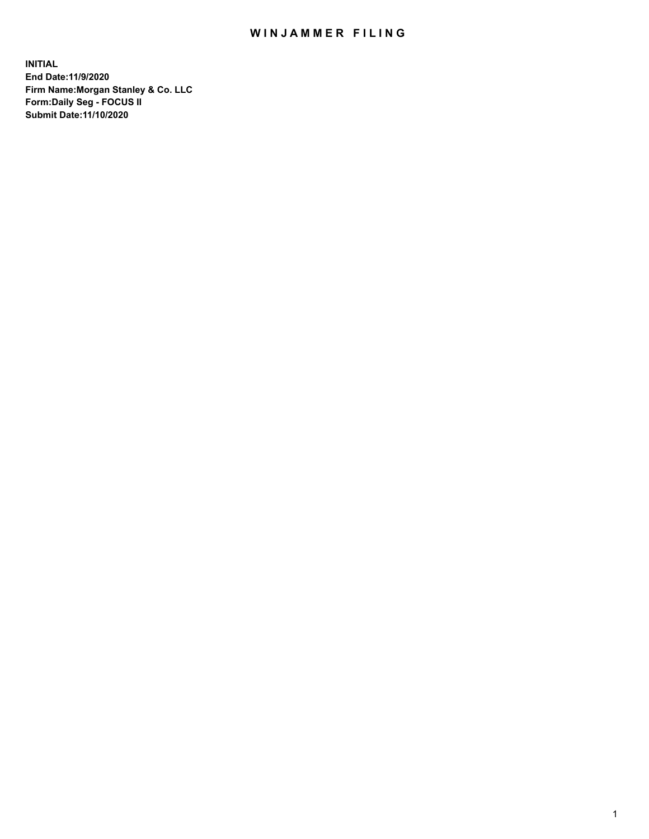# WIN JAMMER FILING

**INITIAL End Date:11/9/2020 Firm Name:Morgan Stanley & Co. LLC Form:Daily Seg - FOCUS II Submit Date:11/10/2020**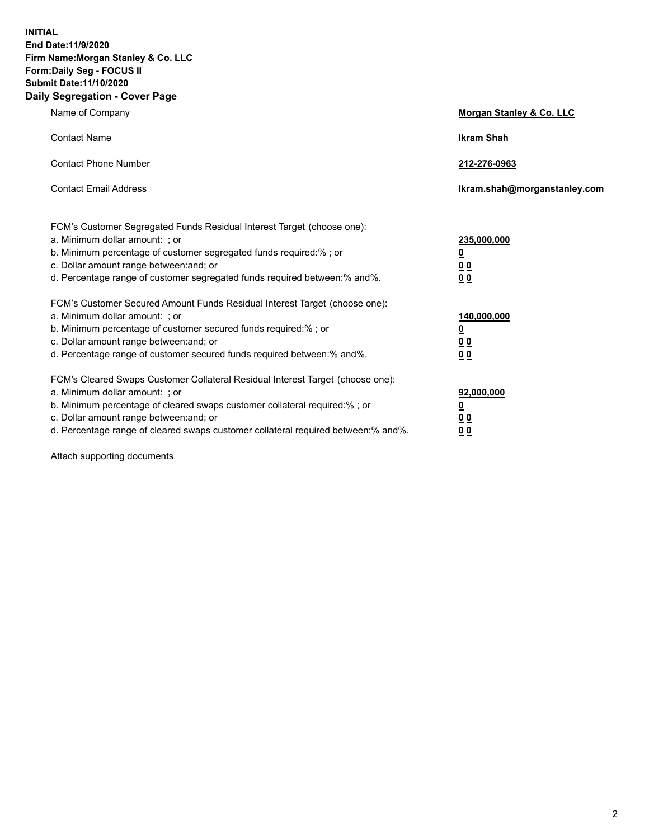**INITIAL End Date:11/9/2020 Firm Name:Morgan Stanley & Co. LLC Form:Daily Seg - FOCUS II Submit Date:11/10/2020 Daily Segregation - Cover Page**

| Name of Company                                                                                                                                                                                                                                                                                                                | Morgan Stanley & Co. LLC                               |
|--------------------------------------------------------------------------------------------------------------------------------------------------------------------------------------------------------------------------------------------------------------------------------------------------------------------------------|--------------------------------------------------------|
| <b>Contact Name</b>                                                                                                                                                                                                                                                                                                            | <b>Ikram Shah</b>                                      |
| <b>Contact Phone Number</b>                                                                                                                                                                                                                                                                                                    | 212-276-0963                                           |
| <b>Contact Email Address</b>                                                                                                                                                                                                                                                                                                   | Ikram.shah@morganstanley.com                           |
| FCM's Customer Segregated Funds Residual Interest Target (choose one):<br>a. Minimum dollar amount: ; or<br>b. Minimum percentage of customer segregated funds required:% ; or<br>c. Dollar amount range between: and; or<br>d. Percentage range of customer segregated funds required between:% and%.                         | 235,000,000<br><u>0</u><br><u>00</u><br>0 <sup>0</sup> |
| FCM's Customer Secured Amount Funds Residual Interest Target (choose one):<br>a. Minimum dollar amount: ; or<br>b. Minimum percentage of customer secured funds required:% ; or<br>c. Dollar amount range between: and; or<br>d. Percentage range of customer secured funds required between:% and%.                           | 140,000,000<br><u>0</u><br><u>00</u><br>0 <sub>0</sub> |
| FCM's Cleared Swaps Customer Collateral Residual Interest Target (choose one):<br>a. Minimum dollar amount: ; or<br>b. Minimum percentage of cleared swaps customer collateral required:% ; or<br>c. Dollar amount range between: and; or<br>d. Percentage range of cleared swaps customer collateral required between:% and%. | 92,000,000<br><u>0</u><br>0 Q<br>00                    |

Attach supporting documents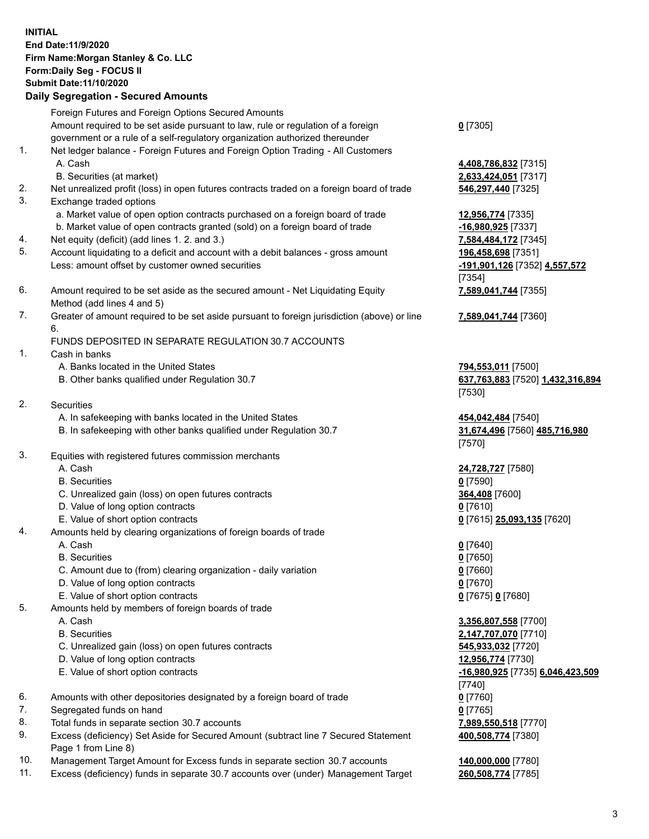# **INITIAL End Date:11/9/2020 Firm Name:Morgan Stanley & Co. LLC Form:Daily Seg - FOCUS II Submit Date:11/10/2020**

#### **Daily Segregation - Secured Amounts**

Foreign Futures and Foreign Options Secured Amounts Amount required to be set aside pursuant to law, rule or regulation of a foreign government or a rule of a self-regulatory organization authorized thereunder

- 1. Net ledger balance Foreign Futures and Foreign Option Trading All Customers A. Cash **4,408,786,832** [7315]
	- B. Securities (at market) **2,633,424,051** [7317]
- 2. Net unrealized profit (loss) in open futures contracts traded on a foreign board of trade **546,297,440** [7325]
- 3. Exchange traded options
	- a. Market value of open option contracts purchased on a foreign board of trade **12,956,774** [7335]
	- b. Market value of open contracts granted (sold) on a foreign board of trade **-16,980,925** [7337]
- 4. Net equity (deficit) (add lines 1. 2. and 3.) **7,584,484,172** [7345]
- 5. Account liquidating to a deficit and account with a debit balances gross amount **196,458,698** [7351] Less: amount offset by customer owned securities **-191,901,126** [7352] **4,557,572**
- 6. Amount required to be set aside as the secured amount Net Liquidating Equity Method (add lines 4 and 5)
- 7. Greater of amount required to be set aside pursuant to foreign jurisdiction (above) or line 6.

#### FUNDS DEPOSITED IN SEPARATE REGULATION 30.7 ACCOUNTS

- 1. Cash in banks
	- A. Banks located in the United States **794,553,011** [7500]
	- B. Other banks qualified under Regulation 30.7 **637,763,883** [7520] **1,432,316,894**
- 2. Securities
	- A. In safekeeping with banks located in the United States **454,042,484** [7540]
	- B. In safekeeping with other banks qualified under Regulation 30.7 **31,674,496** [7560] **485,716,980**
- 3. Equities with registered futures commission merchants
	-
	- B. Securities **0** [7590]
	- C. Unrealized gain (loss) on open futures contracts **364,408** [7600]
	- D. Value of long option contracts **0** [7610]
	- E. Value of short option contracts **0** [7615] **25,093,135** [7620]
- 4. Amounts held by clearing organizations of foreign boards of trade
	-
	- B. Securities **0** [7650]
	- C. Amount due to (from) clearing organization daily variation **0** [7660]
	- D. Value of long option contracts **0** [7670]
	- E. Value of short option contracts **0** [7675] **0** [7680]
- 5. Amounts held by members of foreign boards of trade
	-
	-
	- C. Unrealized gain (loss) on open futures contracts **545,933,032** [7720]
	- D. Value of long option contracts **12,956,774** [7730]
	- E. Value of short option contracts **-16,980,925** [7735] **6,046,423,509**
- 6. Amounts with other depositories designated by a foreign board of trade **0** [7760]
- 7. Segregated funds on hand **0** [7765]
- 8. Total funds in separate section 30.7 accounts **7,989,550,518** [7770]
- 9. Excess (deficiency) Set Aside for Secured Amount (subtract line 7 Secured Statement Page 1 from Line 8)
- 10. Management Target Amount for Excess funds in separate section 30.7 accounts **140,000,000** [7780]
- 11. Excess (deficiency) funds in separate 30.7 accounts over (under) Management Target **260,508,774** [7785]

### **0** [7305]

[7354] **7,589,041,744** [7355]

**7,589,041,744** [7360]

[7530]

[7570]

A. Cash **24,728,727** [7580]

A. Cash **0** [7640]

 A. Cash **3,356,807,558** [7700] B. Securities **2,147,707,070** [7710] [7740] **400,508,774** [7380]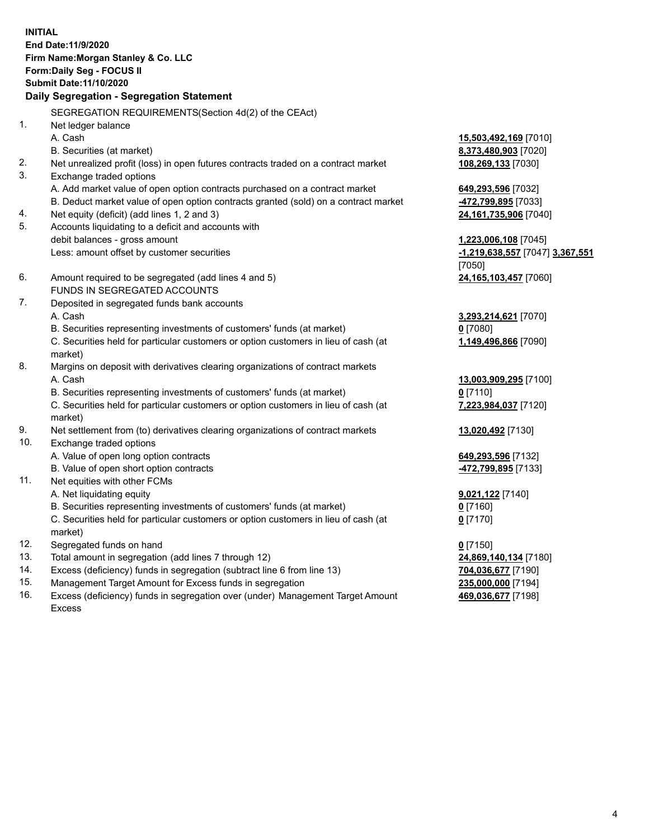**INITIAL End Date:11/9/2020 Firm Name:Morgan Stanley & Co. LLC Form:Daily Seg - FOCUS II Submit Date:11/10/2020 Daily Segregation - Segregation Statement** SEGREGATION REQUIREMENTS(Section 4d(2) of the CEAct) 1. Net ledger balance A. Cash **15,503,492,169** [7010] B. Securities (at market) **8,373,480,903** [7020] 2. Net unrealized profit (loss) in open futures contracts traded on a contract market **108,269,133** [7030] 3. Exchange traded options A. Add market value of open option contracts purchased on a contract market **649,293,596** [7032] B. Deduct market value of open option contracts granted (sold) on a contract market **-472,799,895** [7033] 4. Net equity (deficit) (add lines 1, 2 and 3) **24,161,735,906** [7040] 5. Accounts liquidating to a deficit and accounts with debit balances - gross amount **1,223,006,108** [7045] Less: amount offset by customer securities **-1,219,638,557** [7047] **3,367,551** [7050] 6. Amount required to be segregated (add lines 4 and 5) **24,165,103,457** [7060] FUNDS IN SEGREGATED ACCOUNTS 7. Deposited in segregated funds bank accounts A. Cash **3,293,214,621** [7070] B. Securities representing investments of customers' funds (at market) **0** [7080] C. Securities held for particular customers or option customers in lieu of cash (at market) **1,149,496,866** [7090] 8. Margins on deposit with derivatives clearing organizations of contract markets A. Cash **13,003,909,295** [7100] B. Securities representing investments of customers' funds (at market) **0** [7110] C. Securities held for particular customers or option customers in lieu of cash (at market) **7,223,984,037** [7120] 9. Net settlement from (to) derivatives clearing organizations of contract markets **13,020,492** [7130] 10. Exchange traded options A. Value of open long option contracts **649,293,596** [7132] B. Value of open short option contracts **-472,799,895** [7133] 11. Net equities with other FCMs A. Net liquidating equity **9,021,122** [7140] B. Securities representing investments of customers' funds (at market) **0** [7160] C. Securities held for particular customers or option customers in lieu of cash (at market) **0** [7170] 12. Segregated funds on hand **0** [7150] 13. Total amount in segregation (add lines 7 through 12) **24,869,140,134** [7180] 14. Excess (deficiency) funds in segregation (subtract line 6 from line 13) **704,036,677** [7190]

- 15. Management Target Amount for Excess funds in segregation **235,000,000** [7194]
- 16. Excess (deficiency) funds in segregation over (under) Management Target Amount Excess

**469,036,677** [7198]